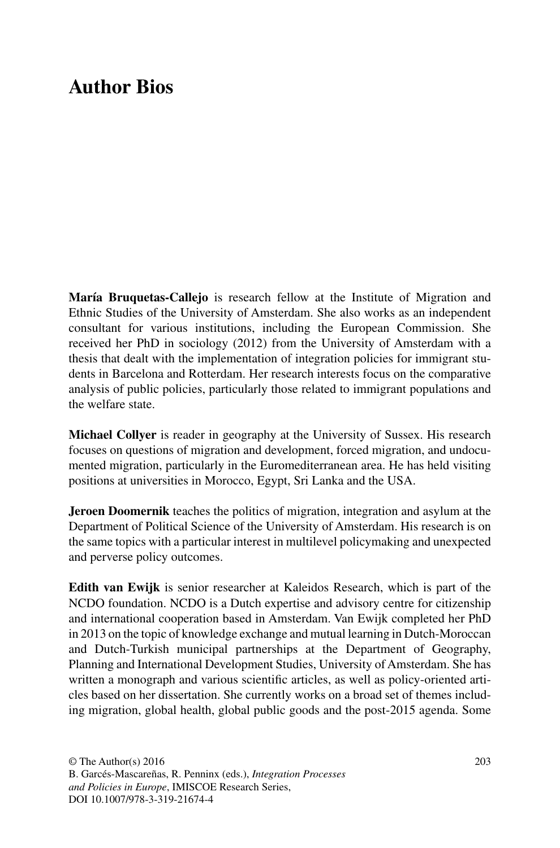## **Author Bios**

**María Bruquetas-Callejo** is research fellow at the Institute of Migration and Ethnic Studies of the University of Amsterdam. She also works as an independent consultant for various institutions, including the European Commission. She received her PhD in sociology (2012) from the University of Amsterdam with a thesis that dealt with the implementation of integration policies for immigrant students in Barcelona and Rotterdam. Her research interests focus on the comparative analysis of public policies, particularly those related to immigrant populations and the welfare state.

**Michael Collyer** is reader in geography at the University of Sussex. His research focuses on questions of migration and development, forced migration, and undocumented migration, particularly in the Euromediterranean area. He has held visiting positions at universities in Morocco, Egypt, Sri Lanka and the USA.

**Jeroen Doomernik** teaches the politics of migration, integration and asylum at the Department of Political Science of the University of Amsterdam. His research is on the same topics with a particular interest in multilevel policymaking and unexpected and perverse policy outcomes.

**Edith van Ewijk** is senior researcher at Kaleidos Research, which is part of the NCDO foundation. NCDO is a Dutch expertise and advisory centre for citizenship and international cooperation based in Amsterdam. Van Ewijk completed her PhD in 2013 on the topic of knowledge exchange and mutual learning in Dutch-Moroccan and Dutch-Turkish municipal partnerships at the Department of Geography, Planning and International Development Studies, University of Amsterdam. She has written a monograph and various scientific articles, as well as policy-oriented articles based on her dissertation. She currently works on a broad set of themes including migration, global health, global public goods and the post-2015 agenda. Some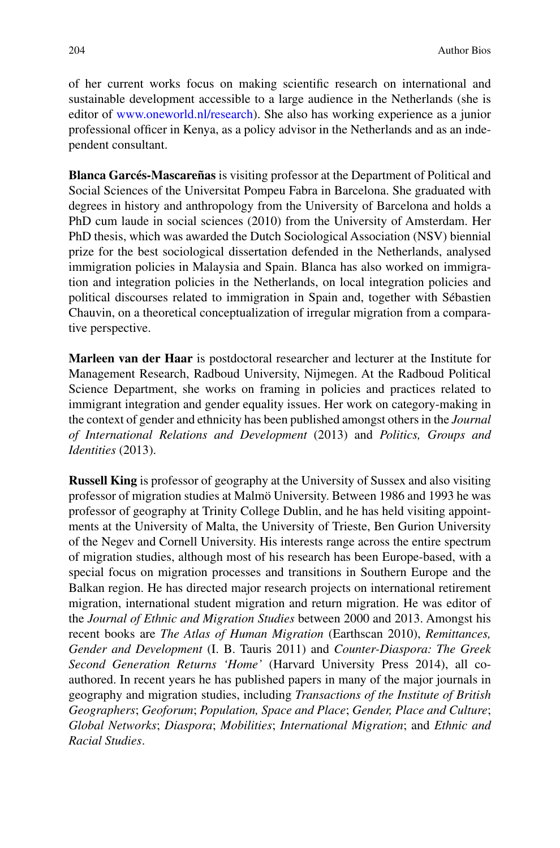of her current works focus on making scientific research on international and sustainable development accessible to a large audience in the Netherlands (she is editor of [www.oneworld.nl/research\)](http://www.oneworld.nl/research). She also has working experience as a junior professional officer in Kenya, as a policy advisor in the Netherlands and as an independent consultant.

**Blanca Garcés-Mascareñas** is visiting professor at the Department of Political and Social Sciences of the Universitat Pompeu Fabra in Barcelona. She graduated with degrees in history and anthropology from the University of Barcelona and holds a PhD cum laude in social sciences (2010) from the University of Amsterdam. Her PhD thesis, which was awarded the Dutch Sociological Association (NSV) biennial prize for the best sociological dissertation defended in the Netherlands, analysed immigration policies in Malaysia and Spain. Blanca has also worked on immigration and integration policies in the Netherlands, on local integration policies and political discourses related to immigration in Spain and, together with Sébastien Chauvin, on a theoretical conceptualization of irregular migration from a comparative perspective.

**Marleen van der Haar** is postdoctoral researcher and lecturer at the Institute for Management Research, Radboud University, Nijmegen. At the Radboud Political Science Department, she works on framing in policies and practices related to immigrant integration and gender equality issues. Her work on category-making in the context of gender and ethnicity has been published amongst others in the *Journal of International Relations and Development* (2013) and *Politics, Groups and Identities* (2013).

**Russell King** is professor of geography at the University of Sussex and also visiting professor of migration studies at Malmö University. Between 1986 and 1993 he was professor of geography at Trinity College Dublin, and he has held visiting appointments at the University of Malta, the University of Trieste, Ben Gurion University of the Negev and Cornell University. His interests range across the entire spectrum of migration studies, although most of his research has been Europe- based, with a special focus on migration processes and transitions in Southern Europe and the Balkan region. He has directed major research projects on international retirement migration, international student migration and return migration. He was editor of the *Journal of Ethnic and Migration Studies* between 2000 and 2013. Amongst his recent books are *The Atlas of Human Migration* (Earthscan 2010), *Remittances, Gender and Development* (I. B. Tauris 2011) and *Counter- Diaspora: The Greek Second Generation Returns 'Home'* (Harvard University Press 2014), all coauthored. In recent years he has published papers in many of the major journals in geography and migration studies, including *Transactions of the Institute of British Geographers* ; *Geoforum* ; *Population, Space and Place* ; *Gender, Place and Culture* ; *Global Networks* ; *Diaspora* ; *Mobilities* ; *International Migration* ; and *Ethnic and Racial Studies* .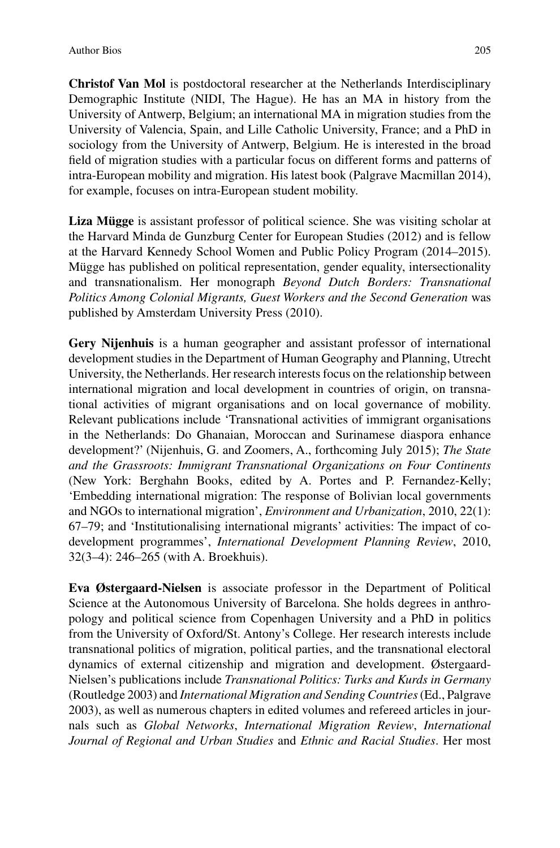**Christof Van Mol** is postdoctoral researcher at the Netherlands Interdisciplinary Demographic Institute (NIDI, The Hague). He has an MA in history from the University of Antwerp, Belgium; an international MA in migration studies from the University of Valencia, Spain, and Lille Catholic University, France; and a PhD in sociology from the University of Antwerp, Belgium. He is interested in the broad field of migration studies with a particular focus on different forms and patterns of intra-European mobility and migration. His latest book (Palgrave Macmillan 2014), for example, focuses on intra-European student mobility.

**Liza Mügge** is assistant professor of political science. She was visiting scholar at the Harvard Minda de Gunzburg Center for European Studies (2012) and is fellow at the Harvard Kennedy School Women and Public Policy Program (2014–2015). Mügge has published on political representation, gender equality, intersectionality and transnationalism. Her monograph *Beyond Dutch Borders: Transnational Politics Among Colonial Migrants, Guest Workers and the Second Generation* was published by Amsterdam University Press (2010).

**Gery Nijenhuis** is a human geographer and assistant professor of international development studies in the Department of Human Geography and Planning, Utrecht University, the Netherlands. Her research interests focus on the relationship between international migration and local development in countries of origin, on transnational activities of migrant organisations and on local governance of mobility. Relevant publications include 'Transnational activities of immigrant organisations in the Netherlands: Do Ghanaian, Moroccan and Surinamese diaspora enhance development?' (Nijenhuis, G. and Zoomers, A., forthcoming July 2015); *The State and the Grassroots: Immigrant Transnational Organizations on Four Continents* (New York: Berghahn Books, edited by A. Portes and P. Fernandez-Kelly; 'Embedding international migration: The response of Bolivian local governments and NGOs to international migration', *Environment and Urbanization* , 2010, 22(1): 67–79; and 'Institutionalising international migrants' activities: The impact of codevelopment programmes', *International Development Planning Review*, 2010, 32(3–4): 246–265 (with A. Broekhuis).

**Eva Østergaard-Nielsen** is associate professor in the Department of Political Science at the Autonomous University of Barcelona. She holds degrees in anthropology and political science from Copenhagen University and a PhD in politics from the University of Oxford/St. Antony's College. Her research interests include transnational politics of migration, political parties, and the transnational electoral dynamics of external citizenship and migration and development. Østergaard-Nielsen's publications include *Transnational Politics: Turks and Kurds in Germany* (Routledge 2003) and *International Migration and Sending Countries* (Ed., Palgrave 2003), as well as numerous chapters in edited volumes and refereed articles in journals such as *Global Networks* , *International Migration Review* , *International Journal of Regional and Urban Studies* and *Ethnic and Racial Studies* . Her most